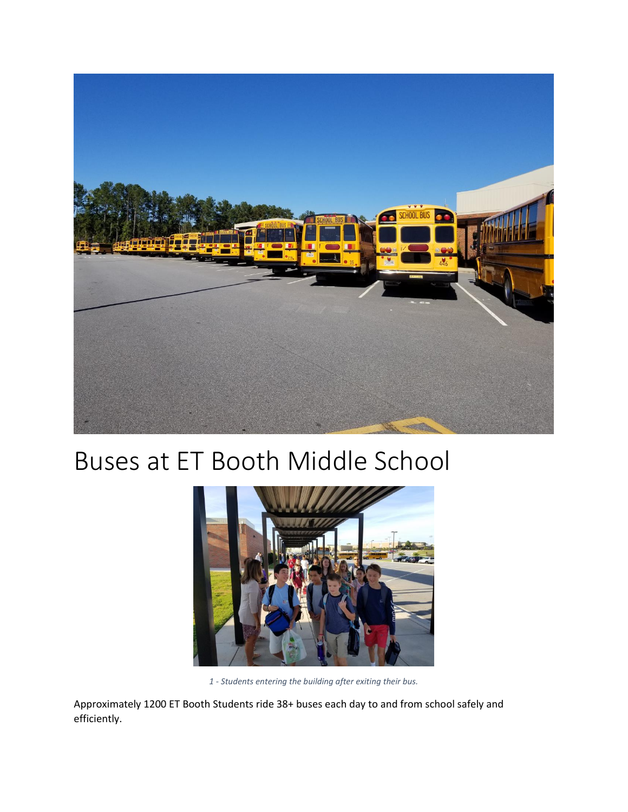

## Buses at ET Booth Middle School



*1 - Students entering the building after exiting their bus.*

Approximately 1200 ET Booth Students ride 38+ buses each day to and from school safely and efficiently.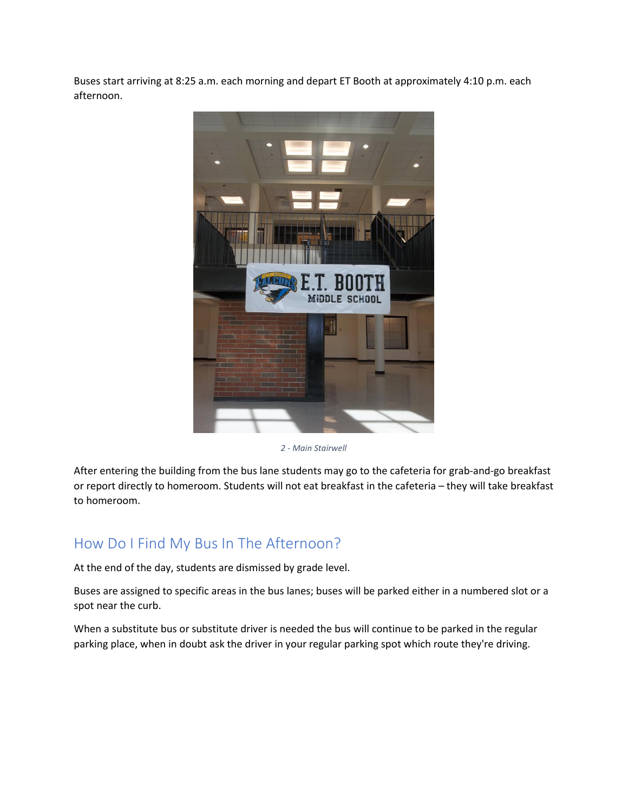Buses start arriving at 8:25 a.m. each morning and depart ET Booth at approximately 4:10 p.m. each afternoon.



*2 - Main Stairwell* 

After entering the building from the bus lane students may go to the cafeteria for grab-and-go breakfast or report directly to homeroom. Students will not eat breakfast in the cafeteria – they will take breakfast to homeroom.

## How Do I Find My Bus In The Afternoon?

At the end of the day, students are dismissed by grade level.

Buses are assigned to specific areas in the bus lanes; buses will be parked either in a numbered slot or a spot near the curb.

When a substitute bus or substitute driver is needed the bus will continue to be parked in the regular parking place, when in doubt ask the driver in your regular parking spot which route they're driving.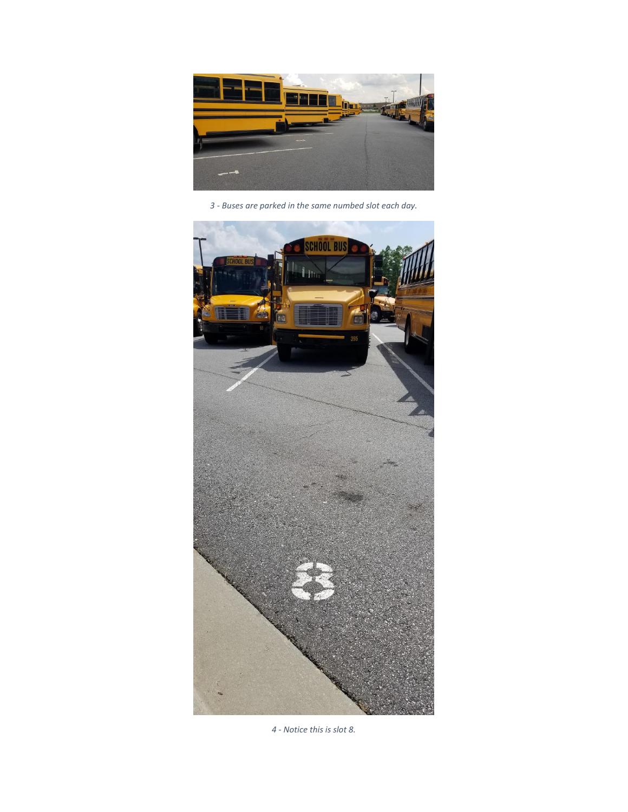

*- Buses are parked in the same numbed slot each day.*



*- Notice this is slot 8.*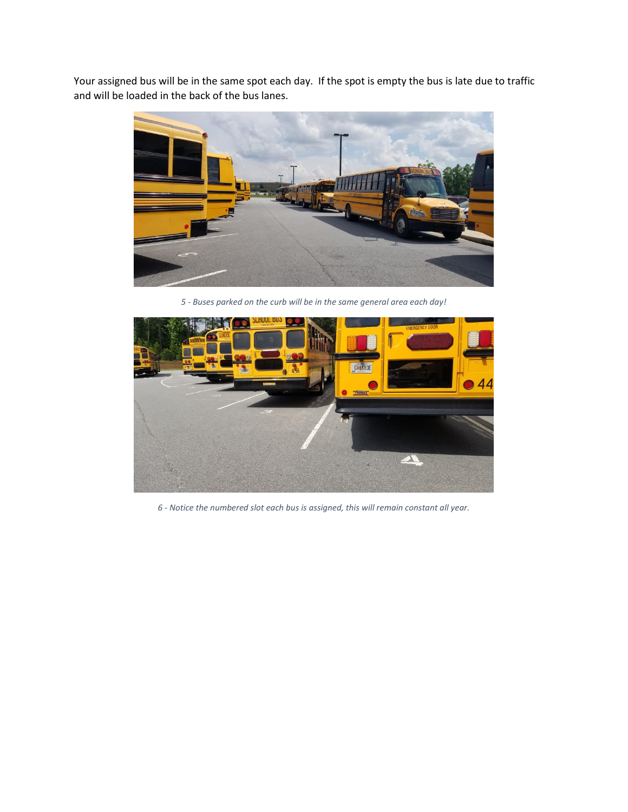Your assigned bus will be in the same spot each day. If the spot is empty the bus is late due to traffic and will be loaded in the back of the bus lanes.



*5 - Buses parked on the curb will be in the same general area each day!*



*6 - Notice the numbered slot each bus is assigned, this will remain constant all year.*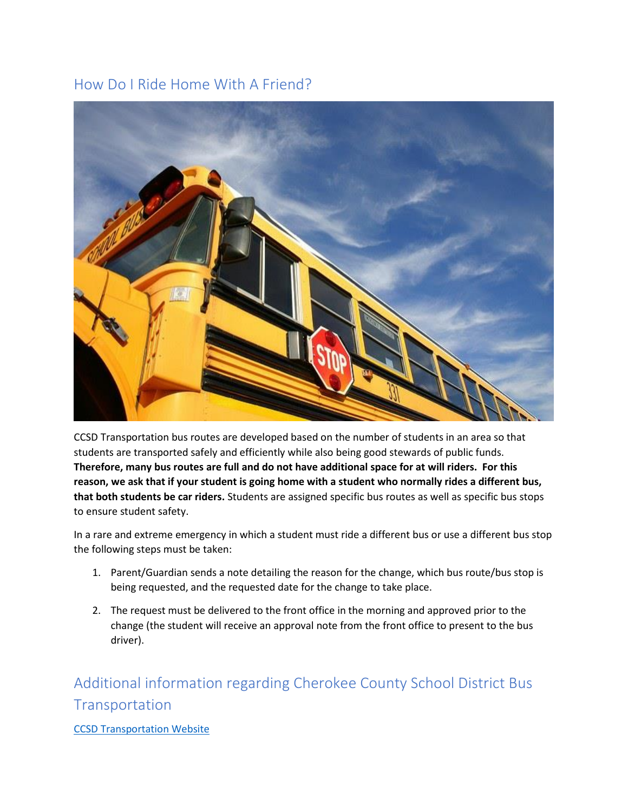## How Do I Ride Home With A Friend?



CCSD Transportation bus routes are developed based on the number of students in an area so that students are transported safely and efficiently while also being good stewards of public funds. **Therefore, many bus routes are full and do not have additional space for at will riders. For this reason, we ask that if your student is going home with a student who normally rides a different bus, that both students be car riders.** Students are assigned specific bus routes as well as specific bus stops to ensure student safety.

In a rare and extreme emergency in which a student must ride a different bus or use a different bus stop the following steps must be taken:

- 1. Parent/Guardian sends a note detailing the reason for the change, which bus route/bus stop is being requested, and the requested date for the change to take place.
- 2. The request must be delivered to the front office in the morning and approved prior to the change (the student will receive an approval note from the front office to present to the bus driver).

## Additional information regarding Cherokee County School District Bus **Transportation**

**[CCSD Transportation Website](https://www.cherokeek12.net/Administration2/transportation)**